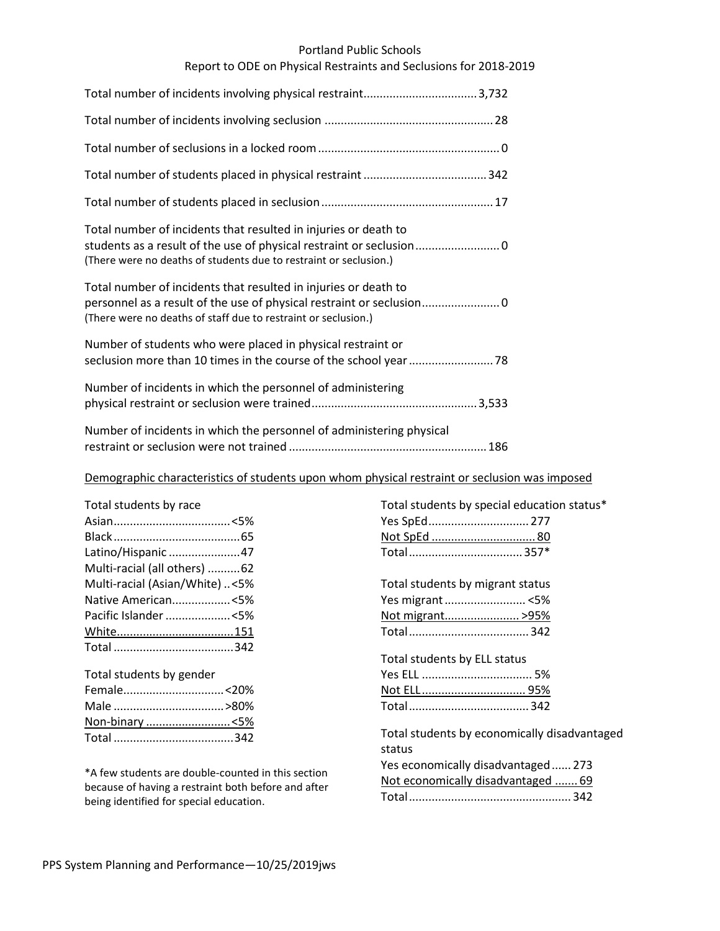## Portland Public Schools

## Report to ODE on Physical Restraints and Seclusions for 2018-2019

| Total number of incidents that resulted in injuries or death to<br>students as a result of the use of physical restraint or seclusion<br>(There were no deaths of students due to restraint or seclusion.) |
|------------------------------------------------------------------------------------------------------------------------------------------------------------------------------------------------------------|
| Total number of incidents that resulted in injuries or death to<br>(There were no deaths of staff due to restraint or seclusion.)                                                                          |
| Number of students who were placed in physical restraint or                                                                                                                                                |
| Number of incidents in which the personnel of administering                                                                                                                                                |
| Number of incidents in which the personnel of administering physical                                                                                                                                       |

# Demographic characteristics of students upon whom physical restraint or seclusion was imposed

| Total students by race         |  |
|--------------------------------|--|
|                                |  |
|                                |  |
| Latino/Hispanic 47             |  |
| Multi-racial (all others) 62   |  |
| Multi-racial (Asian/White) <5% |  |
| Native American<5%             |  |
| Pacific Islander <5%           |  |
|                                |  |
|                                |  |
|                                |  |

| Total students by gender |  |
|--------------------------|--|
|                          |  |
|                          |  |
|                          |  |
|                          |  |
|                          |  |

\*A few students are double-counted in this section because of having a restraint both before and after being identified for special education.

| Total students by special education status*  |
|----------------------------------------------|
| Yes SpEd 277                                 |
| Not SpEd  80                                 |
|                                              |
|                                              |
| Total students by migrant status             |
| Yes migrant <5%                              |
| Not migrant>95%                              |
|                                              |
|                                              |
| Total students by ELL status                 |
|                                              |
| Not ELL 95%                                  |
|                                              |
|                                              |
| Total students by economically disadvantaged |
| status                                       |
| Yes economically disadvantaged 273           |
| Not economically disadvantaged  69           |
|                                              |
|                                              |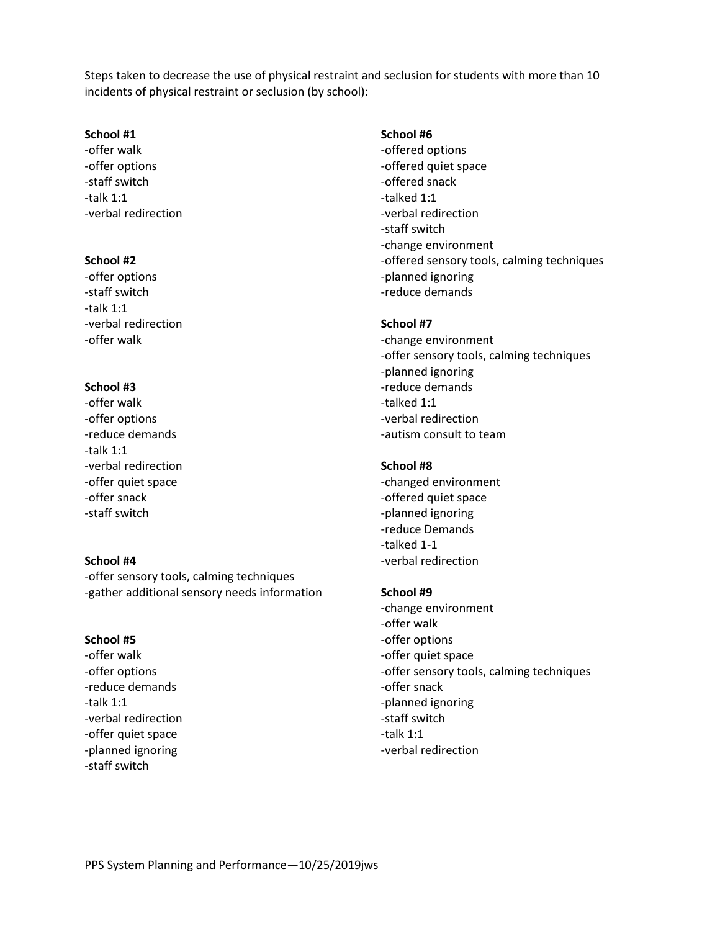Steps taken to decrease the use of physical restraint and seclusion for students with more than 10 incidents of physical restraint or seclusion (by school):

## **School #1**

-offer walk -offer options -staff switch -talk 1:1 -verbal redirection

## **School #2**

-offer options -staff switch -talk 1:1 -verbal redirection -offer walk

# **School #3**

-offer walk -offer options -reduce demands -talk 1:1 -verbal redirection -offer quiet space -offer snack -staff switch

#### **School #4**

-offer sensory tools, calming techniques -gather additional sensory needs information

## **School #5**

-offer walk -offer options -reduce demands -talk 1:1 -verbal redirection -offer quiet space -planned ignoring -staff switch

#### **School #6**

-offered options -offered quiet space -offered snack -talked 1:1 -verbal redirection -staff switch -change environment -offered sensory tools, calming techniques -planned ignoring -reduce demands

## **School #7**

-change environment -offer sensory tools, calming techniques -planned ignoring -reduce demands -talked 1:1 -verbal redirection -autism consult to team

## **School #8**

-changed environment -offered quiet space -planned ignoring -reduce Demands -talked 1-1 -verbal redirection

#### **School #9**

-change environment -offer walk -offer options -offer quiet space -offer sensory tools, calming techniques -offer snack -planned ignoring -staff switch -talk 1:1 -verbal redirection